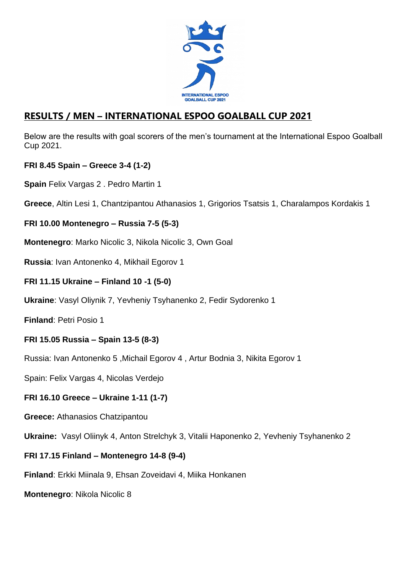

# **RESULTS / MEN – INTERNATIONAL ESPOO GOALBALL CUP 2021**

Below are the results with goal scorers of the men's tournament at the International Espoo Goalball Cup 2021.

### **FRI 8.45 Spain – Greece 3-4 (1-2)**

**Spain** Felix Vargas 2 . Pedro Martin 1

**Greece**, Altin Lesi 1, Chantzipantou Athanasios 1, Grigorios Tsatsis 1, Charalampos Kordakis 1

## **FRI 10.00 Montenegro – Russia 7-5 (5-3)**

**Montenegro**: Marko Nicolic 3, Nikola Nicolic 3, Own Goal

**Russia**: Ivan Antonenko 4, Mikhail Egorov 1

### **FRI 11.15 Ukraine – Finland 10 -1 (5-0)**

**Ukraine**: Vasyl Oliynik 7, Yevheniy Tsyhanenko 2, Fedir Sydorenko 1

**Finland**: Petri Posio 1

## **FRI 15.05 Russia – Spain 13-5 (8-3)**

Russia: Ivan Antonenko 5 ,Michail Egorov 4 , Artur Bodnia 3, Nikita Egorov 1

Spain: Felix Vargas 4, Nicolas Verdejo

#### **FRI 16.10 Greece – Ukraine 1-11 (1-7)**

**Greece:** Athanasios Chatzipantou

**Ukraine:** Vasyl Oliinyk 4, Anton Strelchyk 3, Vitalii Haponenko 2, Yevheniy Tsyhanenko 2

#### **FRI 17.15 Finland – Montenegro 14-8 (9-4)**

**Finland**: Erkki Miinala 9, Ehsan Zoveidavi 4, Miika Honkanen

**Montenegro**: Nikola Nicolic 8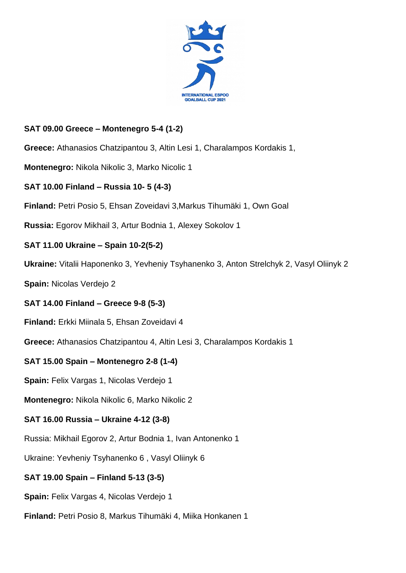

## **SAT 09.00 Greece – Montenegro 5-4 (1-2)**

**Greece:** Athanasios Chatzipantou 3, Altin Lesi 1, Charalampos Kordakis 1,

**Montenegro:** Nikola Nikolic 3, Marko Nicolic 1

### **SAT 10.00 Finland – Russia 10- 5 (4-3)**

**Finland:** Petri Posio 5, Ehsan Zoveidavi 3,Markus Tihumäki 1, Own Goal

**Russia:** Egorov Mikhail 3, Artur Bodnia 1, Alexey Sokolov 1

### **SAT 11.00 Ukraine – Spain 10-2(5-2)**

**Ukraine:** Vitalii Haponenko 3, Yevheniy Tsyhanenko 3, Anton Strelchyk 2, Vasyl Oliinyk 2

**Spain:** Nicolas Verdejo 2

#### **SAT 14.00 Finland – Greece 9-8 (5-3)**

**Finland:** Erkki Miinala 5, Ehsan Zoveidavi 4

**Greece:** Athanasios Chatzipantou 4, Altin Lesi 3, Charalampos Kordakis 1

## **SAT 15.00 Spain – Montenegro 2-8 (1-4)**

**Spain:** Felix Vargas 1, Nicolas Verdejo 1

**Montenegro:** Nikola Nikolic 6, Marko Nikolic 2

#### **SAT 16.00 Russia – Ukraine 4-12 (3-8)**

Russia: Mikhail Egorov 2, Artur Bodnia 1, Ivan Antonenko 1

Ukraine: Yevheniy Tsyhanenko 6 , Vasyl Oliinyk 6

#### **SAT 19.00 Spain – Finland 5-13 (3-5)**

**Spain:** Felix Vargas 4, Nicolas Verdejo 1

**Finland:** Petri Posio 8, Markus Tihumäki 4, Miika Honkanen 1